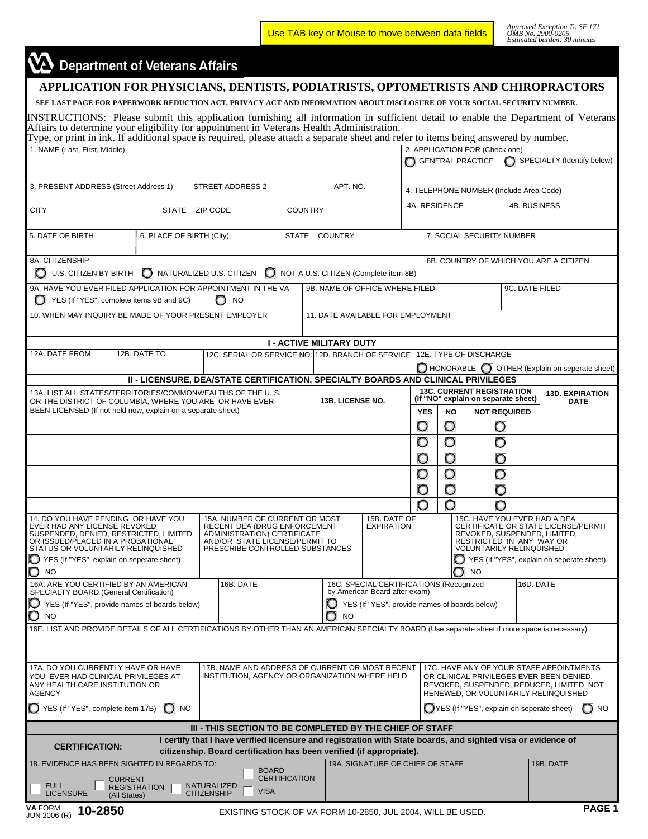Use TAB key or Mouse to move between data fields

*Approved Exception To SF 171 OMB No. 2900-0205 Estimated burden: 30 minutes* 

## $\mathbf{\Omega}$  Department of Veterans Affairs

| APPLICATION FOR PHYSICIANS, DENTISTS, PODIATRISTS, OPTOMETRISTS AND CHIROPRACTORS                                                                                                                                                                                                                                                                                                                              |                                |                          |                    |                                                                                                                                                                          |                  |                                 |                                   |                                  |                        |                                                                                                                             |                |                                               |  |  |
|----------------------------------------------------------------------------------------------------------------------------------------------------------------------------------------------------------------------------------------------------------------------------------------------------------------------------------------------------------------------------------------------------------------|--------------------------------|--------------------------|--------------------|--------------------------------------------------------------------------------------------------------------------------------------------------------------------------|------------------|---------------------------------|-----------------------------------|----------------------------------|------------------------|-----------------------------------------------------------------------------------------------------------------------------|----------------|-----------------------------------------------|--|--|
| SEE LAST PAGE FOR PAPERWORK REDUCTION ACT, PRIVACY ACT AND INFORMATION ABOUT DISCLOSURE OF YOUR SOCIAL SECURITY NUMBER.                                                                                                                                                                                                                                                                                        |                                |                          |                    |                                                                                                                                                                          |                  |                                 |                                   |                                  |                        |                                                                                                                             |                |                                               |  |  |
| INSTRUCTIONS: Please submit this application furnishing all information in sufficient detail to enable the Department of Veterans<br>Affairs to determine your eligibility for appointment in Veterans Health Administration.<br>Type, or print in ink. If additional space is required, please attach a separate sheet and refer to items being answered by number.                                           |                                |                          |                    |                                                                                                                                                                          |                  |                                 |                                   |                                  |                        |                                                                                                                             |                |                                               |  |  |
| 1. NAME (Last, First, Middle)                                                                                                                                                                                                                                                                                                                                                                                  |                                |                          |                    |                                                                                                                                                                          |                  |                                 |                                   |                                  |                        | 2. APPLICATION FOR (Check one)                                                                                              |                |                                               |  |  |
|                                                                                                                                                                                                                                                                                                                                                                                                                |                                |                          |                    |                                                                                                                                                                          |                  |                                 |                                   |                                  |                        |                                                                                                                             |                | GENERAL PRACTICE SPECIALTY (Identify below)   |  |  |
| 3. PRESENT ADDRESS (Street Address 1)                                                                                                                                                                                                                                                                                                                                                                          |                                |                          |                    | STREET ADDRESS 2                                                                                                                                                         |                  | APT. NO.                        |                                   |                                  |                        | 4. TELEPHONE NUMBER (Include Area Code)                                                                                     |                |                                               |  |  |
| <b>CITY</b><br>STATE ZIP CODE                                                                                                                                                                                                                                                                                                                                                                                  |                                |                          |                    |                                                                                                                                                                          | <b>COUNTRY</b>   |                                 |                                   |                                  | 4A. RESIDENCE          |                                                                                                                             |                | 4B. BUSINESS                                  |  |  |
| 5. DATE OF BIRTH                                                                                                                                                                                                                                                                                                                                                                                               |                                | 6. PLACE OF BIRTH (City) |                    |                                                                                                                                                                          |                  | STATE COUNTRY                   |                                   |                                  |                        | 7. SOCIAL SECURITY NUMBER                                                                                                   |                |                                               |  |  |
| 8A. CITIZENSHIP                                                                                                                                                                                                                                                                                                                                                                                                |                                |                          |                    |                                                                                                                                                                          |                  |                                 |                                   |                                  |                        |                                                                                                                             |                | 8B. COUNTRY OF WHICH YOU ARE A CITIZEN        |  |  |
| ◯ U.S. CITIZEN BY BIRTH ◯ NATURALIZED U.S. CITIZEN ◯ NOT A U.S. CITIZEN (Complete item 8B)                                                                                                                                                                                                                                                                                                                     |                                |                          |                    |                                                                                                                                                                          |                  |                                 |                                   |                                  |                        |                                                                                                                             |                |                                               |  |  |
| 9A. HAVE YOU EVER FILED APPLICATION FOR APPOINTMENT IN THE VA<br>YES (If "YES", complete items 9B and 9C)                                                                                                                                                                                                                                                                                                      |                                |                          |                    | $\bigcirc$ NO                                                                                                                                                            |                  |                                 | 9B. NAME OF OFFICE WHERE FILED    |                                  |                        |                                                                                                                             | 9C. DATE FILED |                                               |  |  |
| 10. WHEN MAY INQUIRY BE MADE OF YOUR PRESENT EMPLOYER                                                                                                                                                                                                                                                                                                                                                          |                                |                          |                    |                                                                                                                                                                          |                  |                                 | 11. DATE AVAILABLE FOR EMPLOYMENT |                                  |                        |                                                                                                                             |                |                                               |  |  |
|                                                                                                                                                                                                                                                                                                                                                                                                                |                                |                          |                    |                                                                                                                                                                          |                  | <b>I - ACTIVE MILITARY DUTY</b> |                                   |                                  |                        |                                                                                                                             |                |                                               |  |  |
| 12A. DATE FROM                                                                                                                                                                                                                                                                                                                                                                                                 |                                | 12B. DATE TO             |                    | 12C. SERIAL OR SERVICE NO. 12D. BRANCH OF SERVICE 12E. TYPE OF DISCHARGE                                                                                                 |                  |                                 |                                   |                                  |                        |                                                                                                                             |                |                                               |  |  |
|                                                                                                                                                                                                                                                                                                                                                                                                                |                                |                          |                    | II - LICENSURE, DEA/STATE CERTIFICATION, SPECIALTY BOARDS AND CLINICAL PRIVILEGES                                                                                        |                  |                                 |                                   |                                  |                        |                                                                                                                             |                | HONORABLE   OTHER (Explain on seperate sheet) |  |  |
| 13A. LIST ALL STATES/TERRITORIES/COMMONWEALTHS OF THE U.S.                                                                                                                                                                                                                                                                                                                                                     |                                |                          |                    |                                                                                                                                                                          |                  |                                 |                                   | <b>13C. CURRENT REGISTRATION</b> | <b>13D. EXPIRATION</b> |                                                                                                                             |                |                                               |  |  |
| OR THE DISTRICT OF COLUMBIA, WHERE YOU ARE OR HAVE EVER<br>BEEN LICENSED (If not held now, explain on a separate sheet)                                                                                                                                                                                                                                                                                        |                                |                          |                    |                                                                                                                                                                          | 13B. LICENSE NO. |                                 |                                   | <b>YES</b>                       | <b>NO</b>              | (If "NO" explain on separate sheet)<br><b>NOT REQUIRED</b>                                                                  |                | <b>DATE</b>                                   |  |  |
|                                                                                                                                                                                                                                                                                                                                                                                                                |                                |                          |                    |                                                                                                                                                                          |                  |                                 |                                   | O                                | σ                      | O                                                                                                                           |                |                                               |  |  |
|                                                                                                                                                                                                                                                                                                                                                                                                                |                                |                          |                    |                                                                                                                                                                          |                  |                                 |                                   | O                                | O                      | O                                                                                                                           |                |                                               |  |  |
|                                                                                                                                                                                                                                                                                                                                                                                                                |                                |                          |                    |                                                                                                                                                                          |                  |                                 |                                   | O                                | O                      | О                                                                                                                           |                |                                               |  |  |
|                                                                                                                                                                                                                                                                                                                                                                                                                |                                |                          |                    |                                                                                                                                                                          |                  |                                 |                                   | O                                | O                      | O                                                                                                                           |                |                                               |  |  |
|                                                                                                                                                                                                                                                                                                                                                                                                                |                                |                          |                    |                                                                                                                                                                          |                  |                                 |                                   | O                                | O                      | O                                                                                                                           |                |                                               |  |  |
|                                                                                                                                                                                                                                                                                                                                                                                                                |                                |                          |                    |                                                                                                                                                                          |                  |                                 |                                   | O                                | O                      | O                                                                                                                           |                |                                               |  |  |
| 14. DO YOU HAVE PENDING, OR HAVE YOU<br>EVER HAD ANY LICENSE REVOKED<br>SUSPENDED, DENIED, RESTRICTED, LIMITED<br>OR ISSUED/PLACED IN A PROBATIONAL<br>STATUS OR VOLUNTARILY RELINQUISHED                                                                                                                                                                                                                      |                                |                          |                    | 15A. NUMBER OF CURRENT OR MOST<br>RECENT DEA (DRUG ENFORCEMENT<br>ADMINISTRATION) CERTIFICATE<br>AND/OR STATE LICENSE/PERMIT TO<br>PRESCRIBE CONTROLLED SUBSTANCES       |                  |                                 | 15B. DATE OF<br>EXPIRATION        |                                  |                        | 15C. HAVE YOU EVER HAD A DEA<br>REVOKED, SUSPENDED, LIMITED,<br>RESTRICTED IN ANY WAY OR<br><b>VOLUNTARILY RELINQUISHED</b> |                | CERTIFICATE OR STATE LICENSE/PERMIT           |  |  |
| YES (If "YES", explain on seperate sheet)<br>YES (If "YES", explain on seperate sheet)<br>O<br>NO<br><b>NO</b>                                                                                                                                                                                                                                                                                                 |                                |                          |                    |                                                                                                                                                                          |                  |                                 |                                   |                                  |                        |                                                                                                                             |                |                                               |  |  |
| 16B. DATE<br>16C. SPECIAL CERTIFICATIONS (Recognized<br>16D. DATE<br>16A. ARE YOU CERTIFIED BY AN AMERICAN<br>by American Board after exam)<br>SPECIALTY BOARD (General Certification)                                                                                                                                                                                                                         |                                |                          |                    |                                                                                                                                                                          |                  |                                 |                                   |                                  |                        |                                                                                                                             |                |                                               |  |  |
| YES (If "YES", provide names of boards below)<br>YES (If "YES", provide names of boards below)<br>O<br><b>NO</b><br><b>NO</b>                                                                                                                                                                                                                                                                                  |                                |                          |                    |                                                                                                                                                                          |                  |                                 |                                   |                                  |                        |                                                                                                                             |                |                                               |  |  |
| 16E. LIST AND PROVIDE DETAILS OF ALL CERTIFICATIONS BY OTHER THAN AN AMERICAN SPECIALTY BOARD (Use separate sheet if more space is necessary)                                                                                                                                                                                                                                                                  |                                |                          |                    |                                                                                                                                                                          |                  |                                 |                                   |                                  |                        |                                                                                                                             |                |                                               |  |  |
| 17A. DO YOU CURRENTLY HAVE OR HAVE<br>17B. NAME AND ADDRESS OF CURRENT OR MOST RECENT<br>17C. HAVE ANY OF YOUR STAFF APPOINTMENTS<br>INSTITUTION, AGENCY OR ORGANIZATION WHERE HELD<br>YOU EVER HAD CLINICAL PRIVILEGES AT<br>OR CLINICAL PRIVILEGES EVER BEEN DENIED.<br>ANY HEALTH CARE INSTITUTION OR<br>REVOKED, SUSPENDED, REDUCED, LIMITED, NOT<br><b>AGENCY</b><br>RENEWED, OR VOLUNTARILY RELINQUISHED |                                |                          |                    |                                                                                                                                                                          |                  |                                 |                                   |                                  |                        |                                                                                                                             |                |                                               |  |  |
| YES (If "YES", complete item 17B)                                                                                                                                                                                                                                                                                                                                                                              |                                | $O$ NO                   |                    |                                                                                                                                                                          |                  |                                 |                                   |                                  |                        | YES (If "YES", explain on seperate sheet)                                                                                   |                | $\bigcirc$ NO                                 |  |  |
|                                                                                                                                                                                                                                                                                                                                                                                                                |                                |                          |                    | III - THIS SECTION TO BE COMPLETED BY THE CHIEF OF STAFF<br>I certify that I have verified licensure and registration with State boards, and sighted visa or evidence of |                  |                                 |                                   |                                  |                        |                                                                                                                             |                |                                               |  |  |
| <b>CERTIFICATION:</b>                                                                                                                                                                                                                                                                                                                                                                                          |                                |                          |                    | citizenship. Board certification has been verified (if appropriate).                                                                                                     |                  |                                 |                                   |                                  |                        |                                                                                                                             |                |                                               |  |  |
| 18. EVIDENCE HAS BEEN SIGHTED IN REGARDS TO:                                                                                                                                                                                                                                                                                                                                                                   |                                |                          |                    | <b>BOARD</b>                                                                                                                                                             |                  |                                 | 19A. SIGNATURE OF CHIEF OF STAFF  |                                  |                        |                                                                                                                             |                | 19B. DATE                                     |  |  |
| <b>FULL</b><br><b>LICENSURE</b>                                                                                                                                                                                                                                                                                                                                                                                | <b>CURRENT</b><br>(All States) | <b>REGISTRATION</b>      | <b>CITIZENSHIP</b> | <b>CERTIFICATION</b><br>NATURALIZED<br><b>VISA</b>                                                                                                                       |                  |                                 |                                   |                                  |                        |                                                                                                                             |                |                                               |  |  |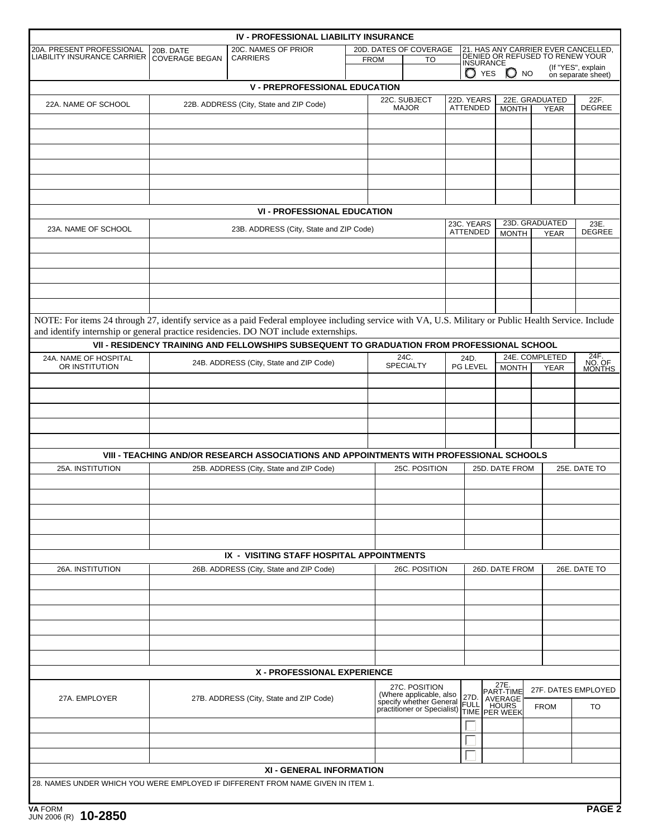|                                                                                                                                                       |                                                                                                                                                                                  | <b>IV - PROFESSIONAL LIABILITY INSURANCE</b>                                               |  |                                                                                   |                          |                                                       |                  |                        |                               |                    |                          |
|-------------------------------------------------------------------------------------------------------------------------------------------------------|----------------------------------------------------------------------------------------------------------------------------------------------------------------------------------|--------------------------------------------------------------------------------------------|--|-----------------------------------------------------------------------------------|--------------------------|-------------------------------------------------------|------------------|------------------------|-------------------------------|--------------------|--------------------------|
| 20A. PRESENT PROFESSIONAL<br><b>LIABILITY INSURANCE CARRIER</b>                                                                                       | 21. HAS ANY CARRIER EVER CANCELLED,<br>20D. DATES OF COVERAGE<br>20C. NAMES OF PRIOR<br>20B. DATE<br>DENIED OR REFUSED TO RENEW YOUR<br><b>CARRIERS</b><br><b>COVERAGE BEGAN</b> |                                                                                            |  |                                                                                   |                          |                                                       |                  |                        |                               |                    |                          |
|                                                                                                                                                       |                                                                                                                                                                                  |                                                                                            |  | <b>FROM</b><br>TO                                                                 |                          | <b>INSURANCE</b><br>$\bigcirc$ yes<br>$\mathbb{O}$ NO |                  |                        |                               | (If "YES", explain |                          |
|                                                                                                                                                       |                                                                                                                                                                                  | <b>V - PREPROFESSIONAL EDUCATION</b>                                                       |  |                                                                                   |                          |                                                       |                  |                        |                               |                    | on separate sheet)       |
|                                                                                                                                                       |                                                                                                                                                                                  |                                                                                            |  |                                                                                   | 22C. SUBJECT             |                                                       | 22D. YEARS       |                        |                               | 22E. GRADUATED     | 22F.                     |
| 22A. NAME OF SCHOOL                                                                                                                                   |                                                                                                                                                                                  | 22B. ADDRESS (City, State and ZIP Code)                                                    |  |                                                                                   | <b>MAJOR</b>             |                                                       | ATTENDED         | <b>MONTH</b>           |                               | <b>YEAR</b>        | <b>DEGREE</b>            |
|                                                                                                                                                       |                                                                                                                                                                                  |                                                                                            |  |                                                                                   |                          |                                                       |                  |                        |                               |                    |                          |
|                                                                                                                                                       |                                                                                                                                                                                  |                                                                                            |  |                                                                                   |                          |                                                       |                  |                        |                               |                    |                          |
|                                                                                                                                                       |                                                                                                                                                                                  |                                                                                            |  |                                                                                   |                          |                                                       |                  |                        |                               |                    |                          |
|                                                                                                                                                       |                                                                                                                                                                                  |                                                                                            |  |                                                                                   |                          |                                                       |                  |                        |                               |                    |                          |
|                                                                                                                                                       |                                                                                                                                                                                  |                                                                                            |  |                                                                                   |                          |                                                       |                  |                        |                               |                    |                          |
|                                                                                                                                                       |                                                                                                                                                                                  |                                                                                            |  |                                                                                   |                          |                                                       |                  |                        |                               |                    |                          |
|                                                                                                                                                       |                                                                                                                                                                                  | <b>VI - PROFESSIONAL EDUCATION</b>                                                         |  |                                                                                   |                          | 23C. YEARS                                            |                  |                        |                               | 23D. GRADUATED     | 23E.                     |
| 23A. NAME OF SCHOOL                                                                                                                                   | 23B. ADDRESS (City, State and ZIP Code)                                                                                                                                          |                                                                                            |  |                                                                                   |                          | ATTENDED                                              | <b>MONTH</b>     | <b>YEAR</b>            | <b>DEGREE</b>                 |                    |                          |
|                                                                                                                                                       |                                                                                                                                                                                  |                                                                                            |  |                                                                                   |                          |                                                       |                  |                        |                               |                    |                          |
|                                                                                                                                                       |                                                                                                                                                                                  |                                                                                            |  |                                                                                   |                          |                                                       |                  |                        |                               |                    |                          |
|                                                                                                                                                       |                                                                                                                                                                                  |                                                                                            |  |                                                                                   |                          |                                                       |                  |                        |                               |                    |                          |
|                                                                                                                                                       |                                                                                                                                                                                  |                                                                                            |  |                                                                                   |                          |                                                       |                  |                        |                               |                    |                          |
|                                                                                                                                                       |                                                                                                                                                                                  |                                                                                            |  |                                                                                   |                          |                                                       |                  |                        |                               |                    |                          |
| NOTE: For items 24 through 27, identify service as a paid Federal employee including service with VA, U.S. Military or Public Health Service. Include |                                                                                                                                                                                  |                                                                                            |  |                                                                                   |                          |                                                       |                  |                        |                               |                    |                          |
| and identify internship or general practice residencies. DO NOT include externships.                                                                  |                                                                                                                                                                                  |                                                                                            |  |                                                                                   |                          |                                                       |                  |                        |                               |                    |                          |
|                                                                                                                                                       |                                                                                                                                                                                  | VII - RESIDENCY TRAINING AND FELLOWSHIPS SUBSEQUENT TO GRADUATION FROM PROFESSIONAL SCHOOL |  |                                                                                   |                          |                                                       |                  |                        |                               |                    |                          |
| 24A. NAME OF HOSPITAL<br>OR INSTITUTION                                                                                                               |                                                                                                                                                                                  | 24B. ADDRESS (City, State and ZIP Code)                                                    |  |                                                                                   | 24C.<br><b>SPECIALTY</b> |                                                       | 24D.<br>PG LEVEL | <b>MONTH</b>           | 24E. COMPLETED<br><b>YEAR</b> |                    | 24F.<br>NO. OF<br>MONTHS |
|                                                                                                                                                       |                                                                                                                                                                                  |                                                                                            |  |                                                                                   |                          |                                                       |                  |                        |                               |                    |                          |
|                                                                                                                                                       |                                                                                                                                                                                  |                                                                                            |  |                                                                                   |                          |                                                       |                  |                        |                               |                    |                          |
|                                                                                                                                                       |                                                                                                                                                                                  |                                                                                            |  |                                                                                   |                          |                                                       |                  |                        |                               |                    |                          |
|                                                                                                                                                       |                                                                                                                                                                                  |                                                                                            |  |                                                                                   |                          |                                                       |                  |                        |                               |                    |                          |
|                                                                                                                                                       |                                                                                                                                                                                  |                                                                                            |  |                                                                                   |                          |                                                       |                  |                        |                               |                    |                          |
|                                                                                                                                                       |                                                                                                                                                                                  | VIII - TEACHING AND/OR RESEARCH ASSOCIATIONS AND APPOINTMENTS WITH PROFESSIONAL SCHOOLS    |  |                                                                                   |                          |                                                       |                  |                        |                               |                    |                          |
| 25A. INSTITUTION                                                                                                                                      |                                                                                                                                                                                  | 25B. ADDRESS (City, State and ZIP Code)                                                    |  |                                                                                   | 25C. POSITION            |                                                       |                  | 25D. DATE FROM         |                               |                    | 25E. DATE TO             |
|                                                                                                                                                       |                                                                                                                                                                                  |                                                                                            |  |                                                                                   |                          |                                                       |                  |                        |                               |                    |                          |
|                                                                                                                                                       |                                                                                                                                                                                  |                                                                                            |  |                                                                                   |                          |                                                       |                  |                        |                               |                    |                          |
|                                                                                                                                                       |                                                                                                                                                                                  |                                                                                            |  |                                                                                   |                          |                                                       |                  |                        |                               |                    |                          |
|                                                                                                                                                       |                                                                                                                                                                                  |                                                                                            |  |                                                                                   |                          |                                                       |                  |                        |                               |                    |                          |
|                                                                                                                                                       |                                                                                                                                                                                  |                                                                                            |  |                                                                                   |                          |                                                       |                  |                        |                               |                    |                          |
|                                                                                                                                                       |                                                                                                                                                                                  | IX - VISITING STAFF HOSPITAL APPOINTMENTS                                                  |  |                                                                                   |                          |                                                       |                  |                        |                               |                    |                          |
| 26A. INSTITUTION                                                                                                                                      |                                                                                                                                                                                  | 26B. ADDRESS (City, State and ZIP Code)                                                    |  | 26C. POSITION                                                                     |                          |                                                       | 26D. DATE FROM   |                        |                               | 26E. DATE TO       |                          |
|                                                                                                                                                       |                                                                                                                                                                                  |                                                                                            |  |                                                                                   |                          |                                                       |                  |                        |                               |                    |                          |
|                                                                                                                                                       |                                                                                                                                                                                  |                                                                                            |  |                                                                                   |                          |                                                       |                  |                        |                               |                    |                          |
|                                                                                                                                                       |                                                                                                                                                                                  |                                                                                            |  |                                                                                   |                          |                                                       |                  |                        |                               |                    |                          |
|                                                                                                                                                       |                                                                                                                                                                                  |                                                                                            |  |                                                                                   |                          |                                                       |                  |                        |                               |                    |                          |
|                                                                                                                                                       |                                                                                                                                                                                  |                                                                                            |  |                                                                                   |                          |                                                       |                  |                        |                               |                    |                          |
|                                                                                                                                                       |                                                                                                                                                                                  | <b>X - PROFESSIONAL EXPERIENCE</b>                                                         |  |                                                                                   |                          |                                                       |                  |                        |                               |                    |                          |
|                                                                                                                                                       |                                                                                                                                                                                  |                                                                                            |  |                                                                                   | 27C. POSITION            |                                                       |                  | 27E.                   |                               |                    |                          |
| 27A. EMPLOYER                                                                                                                                         | 27B. ADDRESS (City, State and ZIP Code)                                                                                                                                          |                                                                                            |  | (Where applicable, also<br>specify whether General<br>practitioner or Specialist) |                          |                                                       | 27D.             | PART-TIME<br>AVERAGE   |                               |                    | 27F. DATES EMPLOYED      |
|                                                                                                                                                       |                                                                                                                                                                                  |                                                                                            |  |                                                                                   |                          |                                                       | <b>FULL</b>      | HOURS<br>TIME PER WEEK |                               | <b>FROM</b>        | TO                       |
|                                                                                                                                                       |                                                                                                                                                                                  |                                                                                            |  |                                                                                   |                          |                                                       |                  |                        |                               |                    |                          |
|                                                                                                                                                       |                                                                                                                                                                                  |                                                                                            |  |                                                                                   |                          |                                                       |                  |                        |                               |                    |                          |
|                                                                                                                                                       |                                                                                                                                                                                  |                                                                                            |  |                                                                                   |                          |                                                       |                  |                        |                               |                    |                          |
|                                                                                                                                                       |                                                                                                                                                                                  | <b>XI - GENERAL INFORMATION</b>                                                            |  |                                                                                   |                          |                                                       |                  |                        |                               |                    |                          |
|                                                                                                                                                       |                                                                                                                                                                                  | 28. NAMES UNDER WHICH YOU WERE EMPLOYED IF DIFFERENT FROM NAME GIVEN IN ITEM 1.            |  |                                                                                   |                          |                                                       |                  |                        |                               |                    |                          |
|                                                                                                                                                       |                                                                                                                                                                                  |                                                                                            |  |                                                                                   |                          |                                                       |                  |                        |                               |                    |                          |
| <b>VA FORM</b><br>JUN 2006 (R) 10-2850                                                                                                                |                                                                                                                                                                                  |                                                                                            |  |                                                                                   |                          |                                                       |                  |                        |                               |                    | PAGE <sub>2</sub>        |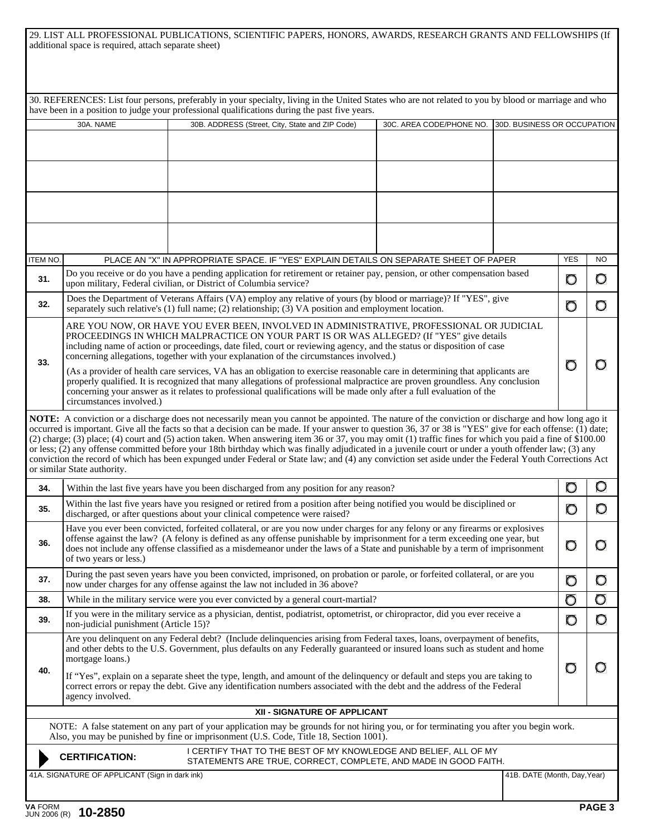| 29. LIST ALL PROFESSIONAL PUBLICATIONS, SCIENTIFIC PAPERS, HONORS, AWARDS, RESEARCH GRANTS AND FELLOWSHIPS (If |  |  |
|----------------------------------------------------------------------------------------------------------------|--|--|
| additional space is required, attach separate sheet)                                                           |  |  |

|     |                                                                                                                                                                                                                                                                                                                                                                                                                                                                                                                                                                                                                                                                                                                                                                                                                           | 30. REFERENCES: List four persons, preferably in your specialty, living in the United States who are not related to you by blood or marriage and who                                                                                                                                                                                                                                                                                                                                                                                                                                                                                                                                                                                                                                             |                          |                              |            |     |  |  |  |
|-----|---------------------------------------------------------------------------------------------------------------------------------------------------------------------------------------------------------------------------------------------------------------------------------------------------------------------------------------------------------------------------------------------------------------------------------------------------------------------------------------------------------------------------------------------------------------------------------------------------------------------------------------------------------------------------------------------------------------------------------------------------------------------------------------------------------------------------|--------------------------------------------------------------------------------------------------------------------------------------------------------------------------------------------------------------------------------------------------------------------------------------------------------------------------------------------------------------------------------------------------------------------------------------------------------------------------------------------------------------------------------------------------------------------------------------------------------------------------------------------------------------------------------------------------------------------------------------------------------------------------------------------------|--------------------------|------------------------------|------------|-----|--|--|--|
|     |                                                                                                                                                                                                                                                                                                                                                                                                                                                                                                                                                                                                                                                                                                                                                                                                                           | have been in a position to judge your professional qualifications during the past five years.                                                                                                                                                                                                                                                                                                                                                                                                                                                                                                                                                                                                                                                                                                    |                          |                              |            |     |  |  |  |
|     | 30A. NAME                                                                                                                                                                                                                                                                                                                                                                                                                                                                                                                                                                                                                                                                                                                                                                                                                 | 30B. ADDRESS (Street, City, State and ZIP Code)                                                                                                                                                                                                                                                                                                                                                                                                                                                                                                                                                                                                                                                                                                                                                  | 30C. AREA CODE/PHONE NO. | 30D. BUSINESS OR OCCUPATION  |            |     |  |  |  |
|     |                                                                                                                                                                                                                                                                                                                                                                                                                                                                                                                                                                                                                                                                                                                                                                                                                           |                                                                                                                                                                                                                                                                                                                                                                                                                                                                                                                                                                                                                                                                                                                                                                                                  |                          |                              |            |     |  |  |  |
|     |                                                                                                                                                                                                                                                                                                                                                                                                                                                                                                                                                                                                                                                                                                                                                                                                                           |                                                                                                                                                                                                                                                                                                                                                                                                                                                                                                                                                                                                                                                                                                                                                                                                  |                          |                              |            |     |  |  |  |
|     |                                                                                                                                                                                                                                                                                                                                                                                                                                                                                                                                                                                                                                                                                                                                                                                                                           |                                                                                                                                                                                                                                                                                                                                                                                                                                                                                                                                                                                                                                                                                                                                                                                                  |                          |                              |            |     |  |  |  |
|     |                                                                                                                                                                                                                                                                                                                                                                                                                                                                                                                                                                                                                                                                                                                                                                                                                           |                                                                                                                                                                                                                                                                                                                                                                                                                                                                                                                                                                                                                                                                                                                                                                                                  |                          |                              |            |     |  |  |  |
|     |                                                                                                                                                                                                                                                                                                                                                                                                                                                                                                                                                                                                                                                                                                                                                                                                                           |                                                                                                                                                                                                                                                                                                                                                                                                                                                                                                                                                                                                                                                                                                                                                                                                  |                          |                              |            |     |  |  |  |
|     |                                                                                                                                                                                                                                                                                                                                                                                                                                                                                                                                                                                                                                                                                                                                                                                                                           |                                                                                                                                                                                                                                                                                                                                                                                                                                                                                                                                                                                                                                                                                                                                                                                                  |                          |                              |            |     |  |  |  |
|     |                                                                                                                                                                                                                                                                                                                                                                                                                                                                                                                                                                                                                                                                                                                                                                                                                           |                                                                                                                                                                                                                                                                                                                                                                                                                                                                                                                                                                                                                                                                                                                                                                                                  |                          |                              |            |     |  |  |  |
|     |                                                                                                                                                                                                                                                                                                                                                                                                                                                                                                                                                                                                                                                                                                                                                                                                                           |                                                                                                                                                                                                                                                                                                                                                                                                                                                                                                                                                                                                                                                                                                                                                                                                  |                          |                              | <b>YES</b> | NO. |  |  |  |
|     | PLACE AN "X" IN APPROPRIATE SPACE. IF "YES" EXPLAIN DETAILS ON SEPARATE SHEET OF PAPER<br>item no.                                                                                                                                                                                                                                                                                                                                                                                                                                                                                                                                                                                                                                                                                                                        |                                                                                                                                                                                                                                                                                                                                                                                                                                                                                                                                                                                                                                                                                                                                                                                                  |                          |                              |            |     |  |  |  |
| 31. | Do you receive or do you have a pending application for retirement or retainer pay, pension, or other compensation based<br>upon military, Federal civilian, or District of Columbia service?                                                                                                                                                                                                                                                                                                                                                                                                                                                                                                                                                                                                                             |                                                                                                                                                                                                                                                                                                                                                                                                                                                                                                                                                                                                                                                                                                                                                                                                  |                          |                              |            |     |  |  |  |
| 32. | Does the Department of Veterans Affairs (VA) employ any relative of yours (by blood or marriage)? If "YES", give<br>separately such relative's (1) full name; (2) relationship; (3) VA position and employment location.                                                                                                                                                                                                                                                                                                                                                                                                                                                                                                                                                                                                  |                                                                                                                                                                                                                                                                                                                                                                                                                                                                                                                                                                                                                                                                                                                                                                                                  |                          |                              |            |     |  |  |  |
| 33. | ARE YOU NOW, OR HAVE YOU EVER BEEN, INVOLVED IN ADMINISTRATIVE, PROFESSIONAL OR JUDICIAL<br>PROCEEDINGS IN WHICH MALPRACTICE ON YOUR PART IS OR WAS ALLEGED? (If "YES" give details<br>including name of action or proceedings, date filed, court or reviewing agency, and the status or disposition of case<br>concerning allegations, together with your explanation of the circumstances involved.)<br>(As a provider of health care services, VA has an obligation to exercise reasonable care in determining that applicants are<br>properly qualified. It is recognized that many allegations of professional malpractice are proven groundless. Any conclusion<br>concerning your answer as it relates to professional qualifications will be made only after a full evaluation of the<br>circumstances involved.) |                                                                                                                                                                                                                                                                                                                                                                                                                                                                                                                                                                                                                                                                                                                                                                                                  |                          |                              |            |     |  |  |  |
|     | or similar State authority.                                                                                                                                                                                                                                                                                                                                                                                                                                                                                                                                                                                                                                                                                                                                                                                               | NOTE: A conviction or a discharge does not necessarily mean you cannot be appointed. The nature of the conviction or discharge and how long ago it<br>occurred is important. Give all the facts so that a decision can be made. If your answer to question 36, 37 or 38 is "YES" give for each offense: (1) date;<br>(2) charge; (3) place; (4) court and (5) action taken. When answering item 36 or 37, you may omit (1) traffic fines for which you paid a fine of \$100.00<br>or less; (2) any offense committed before your 18th birthday which was finally adjudicated in a juvenile court or under a youth offender law; (3) any<br>conviction the record of which has been expunged under Federal or State law; and (4) any conviction set aside under the Federal Youth Corrections Act |                          |                              |            |     |  |  |  |
| 34. | Within the last five years have you been discharged from any position for any reason?                                                                                                                                                                                                                                                                                                                                                                                                                                                                                                                                                                                                                                                                                                                                     |                                                                                                                                                                                                                                                                                                                                                                                                                                                                                                                                                                                                                                                                                                                                                                                                  |                          |                              |            |     |  |  |  |
| 35. | Within the last five years have you resigned or retired from a position after being notified you would be disciplined or<br>discharged, or after questions about your clinical competence were raised?                                                                                                                                                                                                                                                                                                                                                                                                                                                                                                                                                                                                                    |                                                                                                                                                                                                                                                                                                                                                                                                                                                                                                                                                                                                                                                                                                                                                                                                  |                          |                              |            |     |  |  |  |
| 36. | Have you ever been convicted, forfeited collateral, or are you now under charges for any felony or any firearms or explosives<br>offense against the law? (A felony is defined as any offense punishable by imprisonment for a term exceeding one year, but<br>does not include any offense classified as a misdemeanor under the laws of a State and punishable by a term of imprisonment<br>of two years or less.)                                                                                                                                                                                                                                                                                                                                                                                                      |                                                                                                                                                                                                                                                                                                                                                                                                                                                                                                                                                                                                                                                                                                                                                                                                  |                          |                              |            |     |  |  |  |
| 37. | During the past seven years have you been convicted, imprisoned, on probation or parole, or forfeited collateral, or are you<br>now under charges for any offense against the law not included in 36 above?                                                                                                                                                                                                                                                                                                                                                                                                                                                                                                                                                                                                               |                                                                                                                                                                                                                                                                                                                                                                                                                                                                                                                                                                                                                                                                                                                                                                                                  |                          |                              |            |     |  |  |  |
| 38. | While in the military service were you ever convicted by a general court-martial?                                                                                                                                                                                                                                                                                                                                                                                                                                                                                                                                                                                                                                                                                                                                         |                                                                                                                                                                                                                                                                                                                                                                                                                                                                                                                                                                                                                                                                                                                                                                                                  |                          |                              |            |     |  |  |  |
| 39. | If you were in the military service as a physician, dentist, podiatrist, optometrist, or chiropractor, did you ever receive a<br>non-judicial punishment (Article 15)?                                                                                                                                                                                                                                                                                                                                                                                                                                                                                                                                                                                                                                                    |                                                                                                                                                                                                                                                                                                                                                                                                                                                                                                                                                                                                                                                                                                                                                                                                  |                          |                              |            |     |  |  |  |
| 40. | Are you delinquent on any Federal debt? (Include delinquencies arising from Federal taxes, loans, overpayment of benefits,<br>and other debts to the U.S. Government, plus defaults on any Federally guaranteed or insured loans such as student and home<br>mortgage loans.)<br>If "Yes", explain on a separate sheet the type, length, and amount of the delinquency or default and steps you are taking to<br>correct errors or repay the debt. Give any identification numbers associated with the debt and the address of the Federal<br>agency involved.                                                                                                                                                                                                                                                            |                                                                                                                                                                                                                                                                                                                                                                                                                                                                                                                                                                                                                                                                                                                                                                                                  |                          |                              |            |     |  |  |  |
|     |                                                                                                                                                                                                                                                                                                                                                                                                                                                                                                                                                                                                                                                                                                                                                                                                                           | XII - SIGNATURE OF APPLICANT                                                                                                                                                                                                                                                                                                                                                                                                                                                                                                                                                                                                                                                                                                                                                                     |                          |                              |            |     |  |  |  |
|     |                                                                                                                                                                                                                                                                                                                                                                                                                                                                                                                                                                                                                                                                                                                                                                                                                           | NOTE: A false statement on any part of your application may be grounds for not hiring you, or for terminating you after you begin work.<br>Also, you may be punished by fine or imprisonment (U.S. Code, Title 18, Section 1001).                                                                                                                                                                                                                                                                                                                                                                                                                                                                                                                                                                |                          |                              |            |     |  |  |  |
|     | <b>CERTIFICATION:</b>                                                                                                                                                                                                                                                                                                                                                                                                                                                                                                                                                                                                                                                                                                                                                                                                     | I CERTIFY THAT TO THE BEST OF MY KNOWLEDGE AND BELIEF, ALL OF MY<br>STATEMENTS ARE TRUE, CORRECT, COMPLETE, AND MADE IN GOOD FAITH.                                                                                                                                                                                                                                                                                                                                                                                                                                                                                                                                                                                                                                                              |                          |                              |            |     |  |  |  |
|     | 41A. SIGNATURE OF APPLICANT (Sign in dark ink)                                                                                                                                                                                                                                                                                                                                                                                                                                                                                                                                                                                                                                                                                                                                                                            |                                                                                                                                                                                                                                                                                                                                                                                                                                                                                                                                                                                                                                                                                                                                                                                                  |                          | 41B. DATE (Month, Day, Year) |            |     |  |  |  |